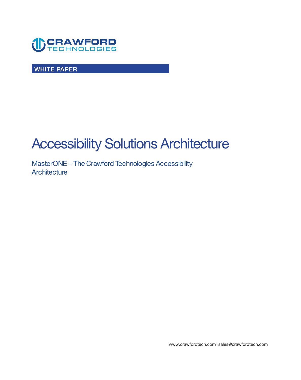

**WHITE PAPER** 

# **Accessibility Solutions Architecture**

**MasterONE – The Crawford Technologies Accessibility Architecture** 

**<www.crawfordtech.com>[sales@crawfordtech.com](mailto:sales@crawfordtech.com)**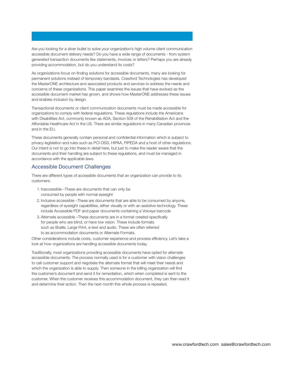**Are you looking for a silver bullet to solve your organization's high volume client communication accessible document delivery needs? Do you have a wide range of documents - from system generated transaction documents like statements, invoices or letters? Perhaps you are already providing accommodation, but do you understand its costs?** 

**As organizations focus on finding solutions for accessible documents, many are looking for permanent solutions instead of temporary bandaids. Crawford Technologies has developed the MasterONE architecture and associated products and services to address the needs and concerns of these organizations. This paper examines the issues that have evolved as the accessible document market has grown, and shows how MasterONE addresses these issues and enables inclusion by design.** 

**Transactional documents or client communication documents must be made accessible for organizations to comply with federal regulations. These regulations include the Americans with Disabilities Act, commonly known as ADA, Section 508 of the Rehabilitation Act and the Affordable Healthcare Act in the US. There are similar regulations in many Canadian provinces and in the EU.** 

**These documents generally contain personal and confidential information which is subject to privacy legislation and rules such as PCI-DSS, HIPAA, PIPEDA and a host of other regulations. Our intent is not to go into these in detail here, but just to make the reader aware that the documents and their handling are subject to these regulations, and must be managed in accordance with the applicable laws.** 

### **Accessible Document Challenges**

**There are different types of accessible documents that an organization can provide to its customers:** 

- **1. Inaccessible –These are documents that can only be consumed by people with normal eyesight**
- **2. Inclusive accessible –These are documents that are able to be consumed by anyone, regardless of eyesight capabilities, either visually or with an assistive technology. These include Accessible PDF and paper documents containing a Voiceye barcode**
- **3. Alternate accessible –These documents are in a format created specifically for people who are blind, or have low vision. These include formats such as Braille, Large Print, e-text and audio. These are often referred to as accommodation documents or Alternate Formats.**

**Other considerations include costs, customer experience and process efficiency. Let's take a look at how organizations are handling accessible documents today.** 

**Traditionally, most organizations providing accessible documents have opted for alternate accessible documents. The process normally used is for a customer with vision challenges to call customer support and negotiate the alternate format that will meet their needs and which the organization is able to supply. Then someone in the billing organization will find the customer's document and send it for remediation, which when completed is sent to the customer. When the customer receives this accommodation document, they can then read it and determine their action. Then the next month this whole process is repeated.**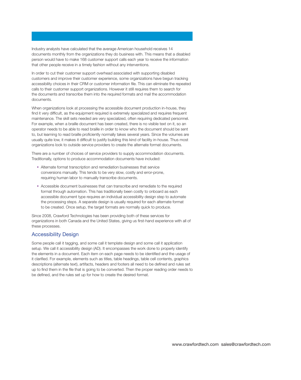**Industry analysts have calculated that the average American household receives 14 documents monthly from the organizations they do business with. This means that a disabled person would have to make 168 customer support calls each year to receive the information that other people receive in a timely fashion without any interventions.** 

**In order to cut their customer support overhead associated with supporting disabled customers and improve their customer experience, some organizations have begun tracking accessibility choices in their CRM or customer information file. This can eliminate the repeated calls to their customer support organizations. However it still requires them to search for the documents and transcribe them into the required formats and mail the accommodation documents.** 

**When organizations look at processing the accessible document production in-house, they find it very difficult, as the equipment required is extremely specialized and requires frequent maintenance. The skill sets needed are very specialized, often requiring dedicated personnel. For example, when a braille document has been created, there is no visible text on it, so an operator needs to be able to read braille in order to know who the document should be sent to, but learning to read braille proficiently normally takes several years. Since the volumes are usually quite low, it makes it difficult to justify building this kind of facility in-house. Thus most organizations look to outside service providers to create the alternate format documents.** 

**There are a number of choices of service providers to supply accommodation documents. Traditionally, options to produce accommodation documents have included:** 

- **Alternate format transcription and remediation businesses that service conversions manually. This tends to be very slow, costly and error-prone, requiring human labor to manually transcribe documents.**
- **Accessible document businesses that can transcribe and remediate to the required format through automation. This has traditionally been costly to onboard as each accessible document type requires an individual accessibility design step to automate the processing steps. A separate design is usually required for each alternate format to be created. Once setup, the target formats are normally quick to produce.**

**Since 2008, Crawford Technologies has been providing both of these services for organizations in both Canada and the United States, giving us first-hand experience with all of these processes.** 

### **Accessibility Design**

**Some people call it tagging, and some call it template design and some call it application setup. We call it accessibility design (AD). It encompasses the work done to properly identify the elements in a document. Each item on each page needs to be identified and the usage of it clarified. For example, elements such as titles, table headings, table cell contents, graphics descriptions (alternate text), artifacts, headers and footers all need to be defined and rules set up to find them in the file that is going to be converted. Then the proper reading order needs to be defined, and the rules set up for how to create the desired format.**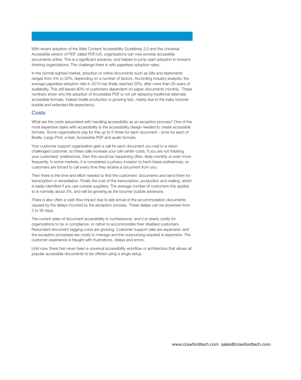**With recent adoption of the Web Content Accessibility Guidelines 2.0 and the Universal Accessible version of PDF called PDF/UA, organizations can now provide accessible documents online. This is a significant advance, and helped to jump-start adoption in forwardthinking organizations. The challenge there is with paperless adoption rates.** 

**In the normal sighted market, adoption of online documents such as bills and statements ranges from 4% to 32%, depending on a number of factors. According industry analysts, the average paperless adoption rate in 2015 has finally reached 20%, after more than 20 years of availability. This still leaves 80% of customers dependent on paper documents monthly. These numbers show why the adoption of Accessible PDF is not yet replacing traditional alternate accessible formats. Indeed braille production is growing fast, mainly due to the baby boomer bubble and extended life expectancy.** 

#### **Costs**

**What are the costs associated with handling accessibility as an exception process? One of the most expensive tasks with accessibility is the accessibility design needed to create accessible formats. Some organizations pay for this up to 5 times for each document - once for each of Braille, Large Print, e-text, Accessible PDF and audio formats.** 

**Your customer support organization gets a call for each document you mail to a vision challenged customer, so these calls increase your call center costs. If you are not tracking your customers' preferences, then this would be happening often, likely monthly or even more frequently. In some markets, it is considered a privacy invasion to track these preferences, so customers are forced to call every time they receive a document from you.** 

**Then there is the time and effort needed to find the customers' documents and send them for transcription or remediation. Finally the cost of the transcription, production and mailing, which is easily identified if you use outside suppliers. The average number of customers this applies to is normally about 5%, and will be growing as the boomer bubble advances.** 

**There is also often a cash flow impact due to late arrival of the accommodation documents caused by the delays incurred by the exception process. These delays can be anywhere from 3 to 30 days.** 

**The current state of document accessibility is cumbersome, and it is clearly costly for organizations to be in compliance, or rather to accommodate their disabled customers. Redundant document tagging costs are growing. Customer support calls are expensive, and the exception processes are costly to manage and the outsourcing required is expensive. The customer experience is fraught with frustrations, delays and errors.** 

**Until now, there has never been a universal accessibility workflow or architecture that allows all popular accessible documents to be offered using a single setup.**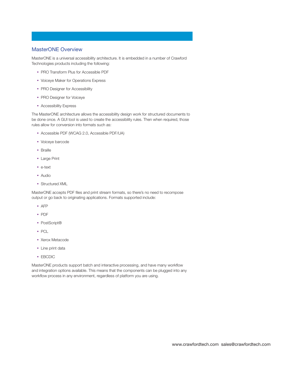## **MasterONE Overview**

**MasterONE is a universal accessibility architecture. It is embedded in a number of Crawford Technologies products including the following:** 

- **PRO Transform Plus for Accessible PDF**
- **Voiceye Maker for Operations Express**
- **PRO Designer for Accessibility**
- **PRO Designer for Voiceye**
- **Accessibility Express**

**The MasterONE architecture allows the accessibility design work for structured documents to be done once. A GUI tool is used to create the accessibility rules. Then when required, those rules allow for conversion into formats such as:** 

- **Accessible PDF (WCAG 2.0, Accessible PDF/UA)**
- **Voiceye barcode**
- **Braille**
- **Large Print**
- **e-text**
- **Audio**
- **Structured XML**

**MasterONE accepts PDF files and print stream formats, so there's no need to recompose output or go back to originating applications. Formats supported include:** 

- **AFP**
- **PDF**
- **PostScript®**
- **PCL**
- **Xerox Metacode**
- **Line print data**
- **EBCDIC**

**MasterONE products support batch and interactive processing, and have many workflow and integration options available. This means that the components can be plugged into any workflow process in any environment, regardless of platform you are using.**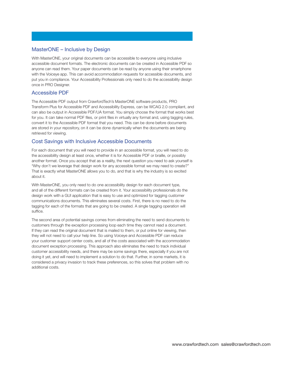## **MasterONE – Inclusive by Design**

**With MasterONE, your original documents can be accessible to everyone using inclusive accessible document formats. The electronic documents can be created in Accessible PDF so anyone can read them. Your paper documents can be read by anyone using their smartphone with the Voiceye app. This can avoid accommodation requests for accessible documents, and put you in compliance. Your Accessibility Professionals only need to do the accessibility design once in PRO Designer.** 

#### **Accessible PDF**

**The Accessible PDF output from CrawfordTech's MasterONE software products, PRO Transform Plus for Accessible PDF and Accessibility Express, can be WCAG 2.0 compliant, and can also be output in Accessible PDF/UA format. You simply choose the format that works best for you. It can take normal PDF files, or print files in virtually any format and, using tagging rules, convert it to the Accessible PDF format that you need. This can be done before documents are stored in your repository, on it can be done dynamically when the documents are being retrieved for viewing.** 

#### **Cost Savings with Inclusive Accessible Documents**

**For each document that you will need to provide in an accessible format, you will need to do the accessibility design at least once, whether it is for Accessible PDF or braille, or possibly another format. Once you accept that as a reality, the next question you need to ask yourself is "Why don't we leverage that design work for any accessible format we may need to create?" That is exactly what MasterONE allows you to do, and that is why the industry is so excited about it.** 

**With MasterONE, you only need to do one accessibility design for each document type, and all of the different formats can be created from it. Your accessibility professionals do the design work with a GUI application that is easy to use and optimized for tagging customer communications documents. This eliminates several costs. First, there is no need to do the tagging for each of the formats that are going to be created. A single tagging operation will suffice.** 

**The second area of potential savings comes from eliminating the need to send documents to customers through the exception processing loop each time they cannot read a document. If they can read the original document that is mailed to them, or put online for viewing, then they will not need to call your help line. So using Voiceye and Accessible PDF can reduce your customer support center costs, and all of the costs associated with the accommodation document exception processing. This approach also eliminates the need to track individual customer accessibility needs, and there may be some savings there, especially if you are not doing it yet, and will need to implement a solution to do that. Further, in some markets, it is considered a privacy invasion to track these preferences, so this solves that problem with no additional costs.**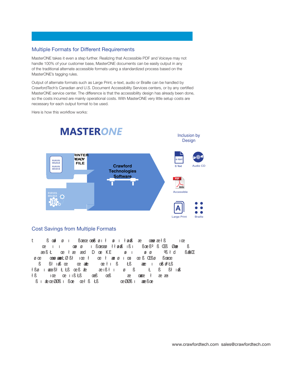# **Multiple Formats for Different Requirements**

**MasterONE takes it even a step further. Realizing that Accessible PDF and Voiceye may not handle 100% of your customer base, MasterONE documents can be easily output in any of the traditional alternate accessible formats using a standardized process based on the MasterONE's tagging rules.** 

**Output of alternate formats such as Large Print, e-text, audio or Braille can be handled by CrawfordTech's Canadian and U.S. Document Accessibility Services centers, or by any certified MasterONE service center. The difference is that the accessibility design has already been done, so the costs incurred are mainly operational costs. With MasterONE very little setup costs are necessary for each output format to be used.** 

**Here is how this workflow works:** 



# **Cost Savings from Multiple Formats**

t ÿþýüßýœdþ÷øýöıÿþüßœıœôœœßüøôıþłóøıÿı÷ôłøıøßýôæôüüþœœoðaþłßüïîþýıœóþ ôíþœþþý ıÿôı ô÷þô œœöýøìüòýı üßœıœ øý ôłłøıøßý ıß ıÿþüßœıß°ýßýŒüßîØæôýüþß÷ łßøýöıÿœ ıßłôŁåŁßïœÿßïæłðþôðæþıßłþıþ÷îøýþÿßó îôýŁôüüßî îßłôıøßý ÷þöïæôıß÷ŁìýþœôýłæþöôæçdÿþDôœıþ÷KEô÷üÿøıþüıï÷þóøıÿøý÷ôóºß÷łdþüÿýßæßŒ öøþœ üüþœœøðœuŁØ÷ßłïüıœ÷þłïüþœôýł þæîøýôıþœıÿþæþßýŒößøýöüßœıœç üüßîîßłôıøßýœô÷þïœïôææŁ÷þæïþœıþłıÿ÷ßïöÿŁßï÷üôææüþýıþ÷åœß øºŁßïô÷þ ł Büïî þýıæô÷þæþýi iß Łßï÷üïæißîþ÷æßýô÷þöïæô÷ðôœœåôýł üôaüïæôiþôýôíþ÷ôöþ î Býıÿæ œïØØß÷ı üßœı ðôœþł ßý Łßï÷ôíþ÷ôöþæïØØß÷ı üôæüßœıç